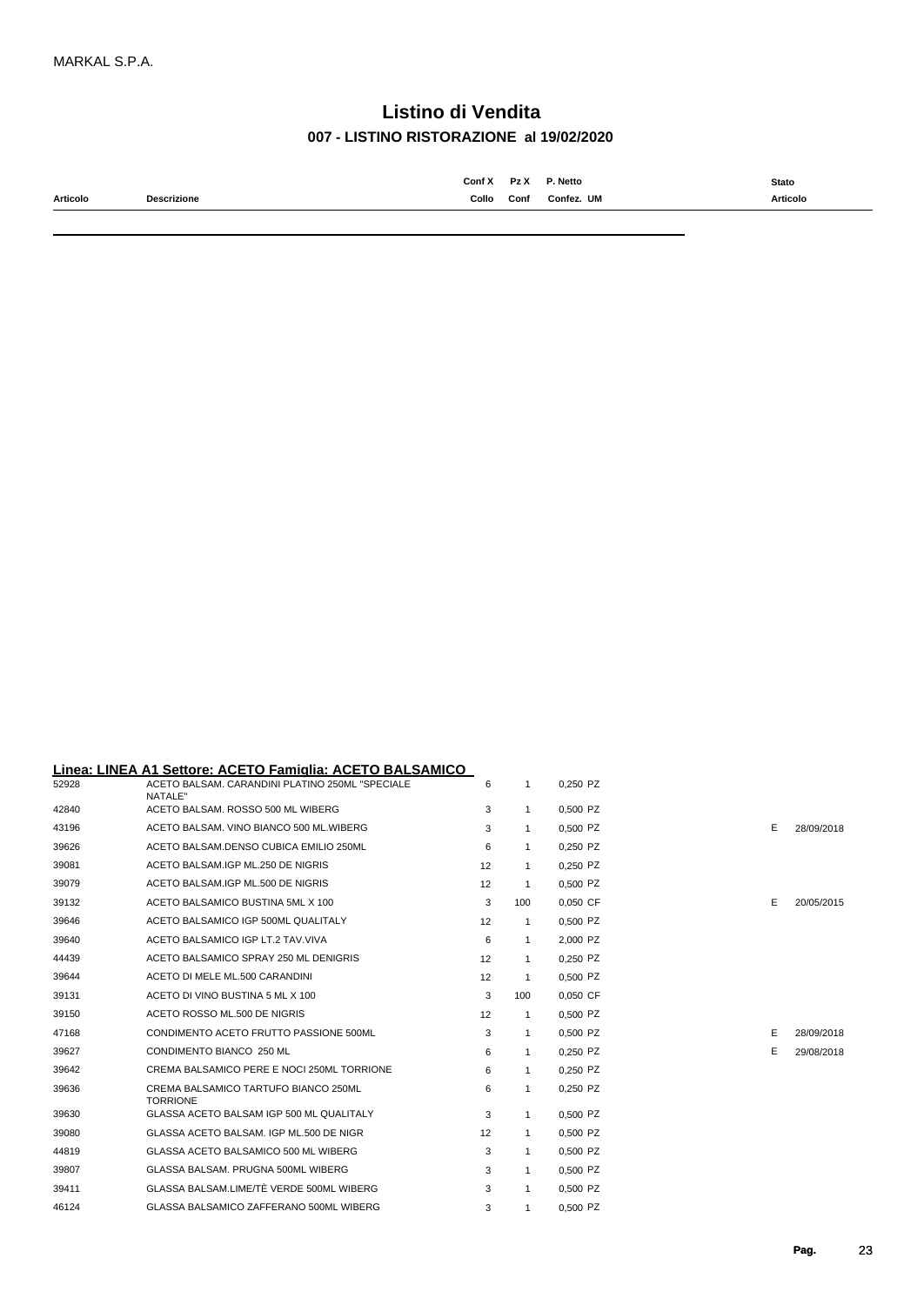|          |             | Conf X | Pz X | P. Netto   | <b>Stato</b><br>. |
|----------|-------------|--------|------|------------|-------------------|
| Articolo | Descrizione | Collo  | Conf | Confez. UM | Articolo<br>.     |
|          |             |        |      |            |                   |

#### **Linea: LINEA A1 Settore: ACETO Famiglia: ACETO BALSAMICO**

| 52928 | ACETO BALSAM, CARANDINI PLATINO 250ML "SPECIALE<br>NATALE" | 6  |                | 0,250 PZ   |   |            |
|-------|------------------------------------------------------------|----|----------------|------------|---|------------|
| 42840 | ACETO BALSAM, ROSSO 500 ML WIBERG                          | 3  | $\overline{1}$ | 0,500 PZ   |   |            |
| 43196 | ACETO BALSAM. VINO BIANCO 500 ML. WIBERG                   | 3  | -1             | 0,500 PZ   | E | 28/09/2018 |
| 39626 | ACETO BALSAM.DENSO CUBICA EMILIO 250ML                     | 6  | $\overline{1}$ | 0,250 PZ   |   |            |
| 39081 | ACETO BALSAM.IGP ML.250 DE NIGRIS                          | 12 | $\mathbf{1}$   | 0,250 PZ   |   |            |
| 39079 | ACETO BALSAM.IGP ML.500 DE NIGRIS                          | 12 | -1             | 0,500 PZ   |   |            |
| 39132 | ACETO BALSAMICO BUSTINA 5ML X 100                          | 3  | 100            | 0,050 CF   | Е | 20/05/2015 |
| 39646 | ACETO BALSAMICO IGP 500ML QUALITALY                        | 12 | -1             | 0,500 PZ   |   |            |
| 39640 | ACETO BALSAMICO IGP LT.2 TAV.VIVA                          | 6  | $\overline{1}$ | 2,000 PZ   |   |            |
| 44439 | ACETO BALSAMICO SPRAY 250 ML DENIGRIS                      | 12 | $\overline{1}$ | 0,250 PZ   |   |            |
| 39644 | ACETO DI MELE ML.500 CARANDINI                             | 12 | -1             | 0,500 PZ   |   |            |
| 39131 | ACETO DI VINO BUSTINA 5 ML X 100                           | 3  | 100            | 0,050 CF   |   |            |
| 39150 | ACETO ROSSO ML.500 DE NIGRIS                               | 12 | -1             | $0.500$ PZ |   |            |
| 47168 | CONDIMENTO ACETO FRUTTO PASSIONE 500ML                     | 3  | $\overline{1}$ | 0,500 PZ   | Е | 28/09/2018 |
| 39627 | CONDIMENTO BIANCO 250 ML                                   | 6  | -1             | 0,250 PZ   | Е | 29/08/2018 |
| 39642 | CREMA BALSAMICO PERE E NOCI 250ML TORRIONE                 | 6  | -1             | 0,250 PZ   |   |            |
| 39636 | CREMA BALSAMICO TARTUFO BIANCO 250ML<br><b>TORRIONE</b>    | 6  | $\overline{1}$ | 0,250 PZ   |   |            |
| 39630 | GLASSA ACETO BALSAM IGP 500 ML QUALITALY                   | 3  | $\overline{1}$ | 0,500 PZ   |   |            |
| 39080 | GLASSA ACETO BALSAM. IGP ML.500 DE NIGR                    | 12 | $\overline{1}$ | 0,500 PZ   |   |            |
| 44819 | GLASSA ACETO BALSAMICO 500 ML WIBERG                       | 3  | -1             | 0,500 PZ   |   |            |
| 39807 | GLASSA BALSAM, PRUGNA 500ML WIBERG                         | 3  | $\mathbf{1}$   | 0,500 PZ   |   |            |
| 39411 | GLASSA BALSAM.LIME/TÈ VERDE 500ML WIBERG                   | 3  | -1             | 0,500 PZ   |   |            |
| 46124 | GLASSA BALSAMICO ZAFFERANO 500ML WIBERG                    | 3  | -1             | 0,500 PZ   |   |            |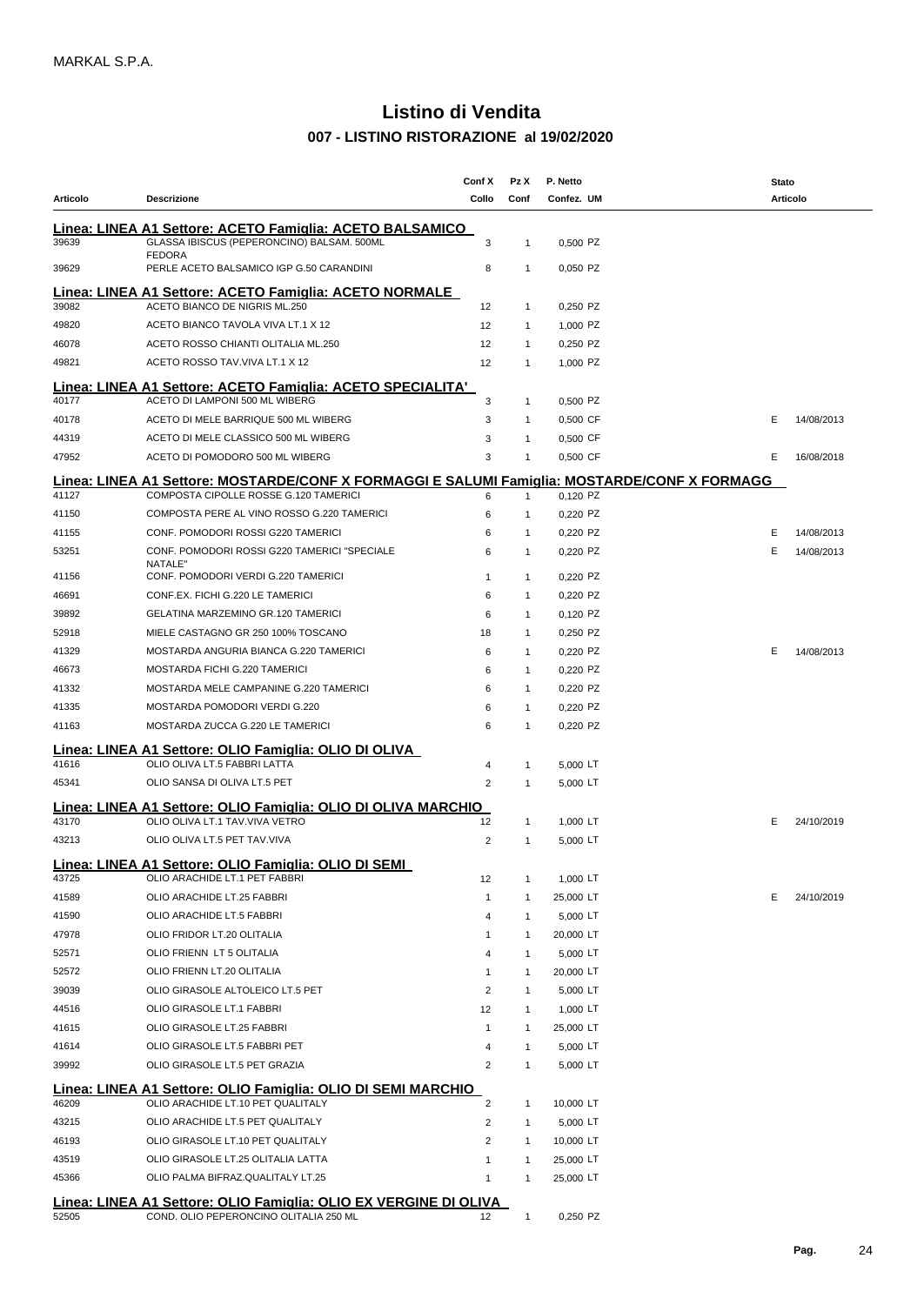| Articolo       |                                                                                                                                       | Conf X              | Pz X                         | P. Netto              | Stato<br><b>Articolo</b> |
|----------------|---------------------------------------------------------------------------------------------------------------------------------------|---------------------|------------------------------|-----------------------|--------------------------|
|                | <b>Descrizione</b>                                                                                                                    | Collo               | Conf                         | Confez. UM            |                          |
| 39639          | Linea: LINEA A1 Settore: ACETO Famiglia: ACETO BALSAMICO  <br>GLASSA IBISCUS (PEPERONCINO) BALSAM. 500ML                              | 3                   | $\mathbf{1}$                 | 0,500 PZ              |                          |
| 39629          | <b>FEDORA</b><br>PERLE ACETO BALSAMICO IGP G.50 CARANDINI                                                                             | 8                   | $\mathbf{1}$                 | 0,050 PZ              |                          |
|                | <u> Linea: LINEA A1 Settore: ACETO Famiglia: ACETO NORMALE</u>                                                                        |                     |                              |                       |                          |
| 39082          | ACETO BIANCO DE NIGRIS ML.250                                                                                                         | 12                  | $\mathbf{1}$                 | 0,250 PZ              |                          |
| 49820          | ACETO BIANCO TAVOLA VIVA LT.1 X 12                                                                                                    | $12 \overline{ }$   | $\mathbf{1}$                 | 1,000 PZ              |                          |
| 46078          | ACETO ROSSO CHIANTI OLITALIA ML.250                                                                                                   | $12 \overline{ }$   | $\mathbf{1}$                 | 0,250 PZ              |                          |
| 49821          | ACETO ROSSO TAV. VIVA LT.1 X 12                                                                                                       | 12                  | $\mathbf{1}$                 | 1,000 PZ              |                          |
| 40177          | Linea: LINEA A1 Settore: ACETO Famiglia: ACETO SPECIALITA'<br>ACETO DI LAMPONI 500 ML WIBERG                                          | 3                   | $\mathbf{1}$                 | 0,500 PZ              |                          |
| 40178          | ACETO DI MELE BARRIQUE 500 ML WIBERG                                                                                                  | 3                   | $\mathbf{1}$                 | 0,500 CF              | Е<br>14/08/2013          |
| 44319          | ACETO DI MELE CLASSICO 500 ML WIBERG                                                                                                  | 3                   | $\mathbf{1}$                 | 0,500 CF              |                          |
| 47952          | ACETO DI POMODORO 500 ML WIBERG                                                                                                       | 3                   | $\mathbf{1}$                 | 0,500 CF              | Е<br>16/08/2018          |
| 41127          | Linea: LINEA A1 Settore: MOSTARDE/CONF X FORMAGGI E SALUMI Famiglia: MOSTARDE/CONF X FORMAGG<br>COMPOSTA CIPOLLE ROSSE G.120 TAMERICI | 6                   | $\mathbf{1}$                 | 0.120 PZ              |                          |
| 41150          | COMPOSTA PERE AL VINO ROSSO G.220 TAMERICI                                                                                            | 6                   | $\mathbf{1}$                 | 0,220 PZ              |                          |
| 41155          | CONF. POMODORI ROSSI G220 TAMERICI                                                                                                    | 6                   | $\mathbf{1}$                 | 0,220 PZ              | Е<br>14/08/2013          |
| 53251          | CONF. POMODORI ROSSI G220 TAMERICI "SPECIALE                                                                                          | 6                   | $\mathbf{1}$                 | 0,220 PZ              | Е<br>14/08/2013          |
| 41156          | NATALE"<br>CONF. POMODORI VERDI G.220 TAMERICI                                                                                        | $\mathbf{1}$        | $\mathbf{1}$                 | 0,220 PZ              |                          |
| 46691          | CONF.EX. FICHI G.220 LE TAMERICI                                                                                                      | 6                   | $\mathbf{1}$                 | 0,220 PZ              |                          |
| 39892          | GELATINA MARZEMINO GR.120 TAMERICI                                                                                                    | 6                   | $\mathbf{1}$                 | 0,120 PZ              |                          |
| 52918          | MIELE CASTAGNO GR 250 100% TOSCANO                                                                                                    | 18                  | $\mathbf{1}$                 | 0,250 PZ              |                          |
| 41329          | MOSTARDA ANGURIA BIANCA G.220 TAMERICI                                                                                                | 6                   | $\mathbf{1}$                 | 0,220 PZ              | Е<br>14/08/2013          |
| 46673          | MOSTARDA FICHI G.220 TAMERICI                                                                                                         | 6                   | $\mathbf{1}$                 | 0,220 PZ              |                          |
| 41332          | MOSTARDA MELE CAMPANINE G.220 TAMERICI                                                                                                | 6                   | $\mathbf{1}$                 | 0,220 PZ              |                          |
| 41335          | MOSTARDA POMODORI VERDI G.220                                                                                                         | 6                   | $\mathbf{1}$                 | 0,220 PZ              |                          |
| 41163          | MOSTARDA ZUCCA G.220 LE TAMERICI                                                                                                      | 6                   | $\mathbf{1}$                 | 0,220 PZ              |                          |
|                | Linea: LINEA A1 Settore: OLIO Famiglia: OLIO DI OLIVA                                                                                 |                     |                              |                       |                          |
| 41616          | OLIO OLIVA LT.5 FABBRI LATTA                                                                                                          | 4                   | $\mathbf{1}$                 | 5,000 LT              |                          |
| 45341          | OLIO SANSA DI OLIVA LT.5 PET                                                                                                          | 2                   | $\mathbf{1}$                 | 5,000 LT              |                          |
| Lınea:         | LINEA A1 Settore: OLIO Famiglia: OLIO DI OLIVA MARCHIO                                                                                |                     |                              |                       |                          |
| 43170          | OLIO OLIVA LT.1 TAV.VIVA VETRO                                                                                                        | 12                  | $\mathbf{1}$                 | 1,000 LT              | Е<br>24/10/2019          |
| 43213          | OLIO OLIVA LT.5 PET TAV.VIVA                                                                                                          | 2                   | $\mathbf{1}$                 | 5,000 LT              |                          |
|                | Linea: LINEA A1 Settore: OLIO Famiglia: OLIO DI SEMI                                                                                  |                     |                              |                       |                          |
| 43725          | OLIO ARACHIDE LT.1 PET FABBRI<br>OLIO ARACHIDE LT.25 FABBRI                                                                           | 12                  | $\mathbf{1}$                 | 1,000 LT              | Е                        |
| 41589<br>41590 | OLIO ARACHIDE LT.5 FABBRI                                                                                                             | 1<br>$\overline{4}$ | $\mathbf{1}$<br>$\mathbf{1}$ | 25,000 LT<br>5,000 LT | 24/10/2019               |
| 47978          | OLIO FRIDOR LT.20 OLITALIA                                                                                                            | -1                  | $\mathbf{1}$                 | 20,000 LT             |                          |
| 52571          | OLIO FRIENN LT 5 OLITALIA                                                                                                             | 4                   | $\mathbf{1}$                 | 5,000 LT              |                          |
| 52572          | OLIO FRIENN LT.20 OLITALIA                                                                                                            | -1                  | $\mathbf{1}$                 | 20,000 LT             |                          |
| 39039          | OLIO GIRASOLE ALTOLEICO LT.5 PET                                                                                                      | 2                   | $\mathbf{1}$                 | 5,000 LT              |                          |
| 44516          | OLIO GIRASOLE LT.1 FABBRI                                                                                                             | 12                  | $\mathbf{1}$                 | 1,000 LT              |                          |
| 41615          | OLIO GIRASOLE LT.25 FABBRI                                                                                                            | $\mathbf{1}$        | $\mathbf{1}$                 | 25,000 LT             |                          |
| 41614          | OLIO GIRASOLE LT.5 FABBRI PET                                                                                                         | 4                   | $\mathbf{1}$                 | 5,000 LT              |                          |
| 39992          | OLIO GIRASOLE LT.5 PET GRAZIA                                                                                                         | 2                   | $\mathbf{1}$                 | 5,000 LT              |                          |
|                |                                                                                                                                       |                     |                              |                       |                          |
| 46209          | Linea: LINEA A1 Settore: OLIO Famiglia: OLIO DI SEMI MARCHIO<br>OLIO ARACHIDE LT.10 PET QUALITALY                                     | 2                   | $\mathbf{1}$                 | 10,000 LT             |                          |
| 43215          | OLIO ARACHIDE LT.5 PET QUALITALY                                                                                                      | 2                   | $\mathbf{1}$                 | 5,000 LT              |                          |
| 46193          | OLIO GIRASOLE LT.10 PET QUALITALY                                                                                                     | 2                   | $\mathbf{1}$                 | 10,000 LT             |                          |
| 43519          | OLIO GIRASOLE LT.25 OLITALIA LATTA                                                                                                    | -1                  | $\mathbf{1}$                 | 25,000 LT             |                          |
| 45366          | OLIO PALMA BIFRAZ.QUALITALY LT.25                                                                                                     | -1                  | $\mathbf{1}$                 | 25,000 LT             |                          |
|                | Linea: LINEA A1 Settore: OLIO Famiglia: OLIO EX VERGINE DI OLIVA                                                                      |                     |                              |                       |                          |
| 52505          | COND. OLIO PEPERONCINO OLITALIA 250 ML                                                                                                | 12                  | $\mathbf{1}$                 | 0,250 PZ              |                          |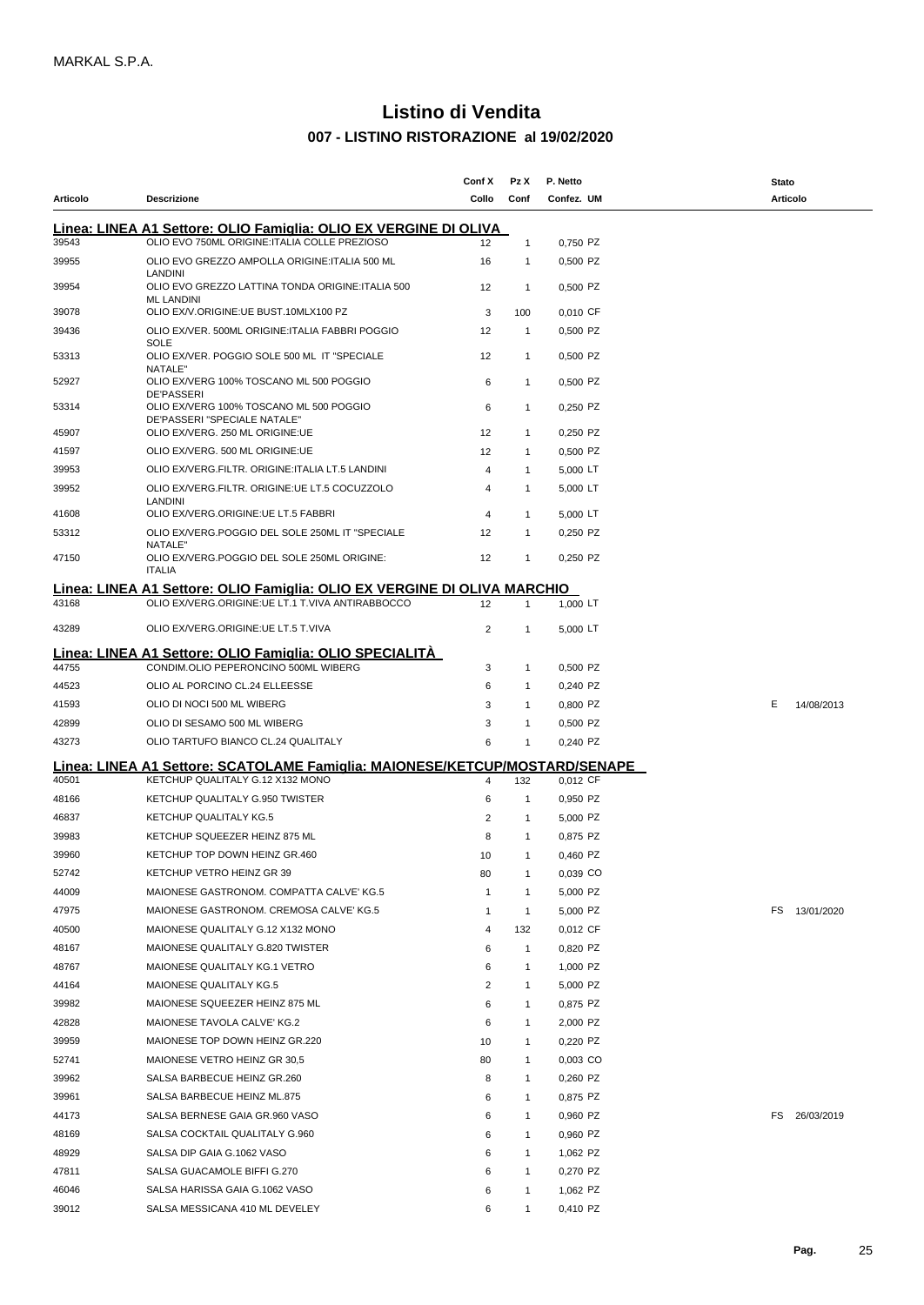|          |                                                                                                                 | Conf X         | Pz X           | P. Netto   | Stato           |
|----------|-----------------------------------------------------------------------------------------------------------------|----------------|----------------|------------|-----------------|
| Articolo | Descrizione                                                                                                     | Collo          | Conf           | Confez. UM | <b>Articolo</b> |
|          | Linea: LINEA A1 Settore: OLIO Famiglia: OLIO EX VERGINE DI OLIVA                                                |                |                |            |                 |
| 39543    | OLIO EVO 750ML ORIGINE: ITALIA COLLE PREZIOSO                                                                   | 12             | $\mathbf{1}$   | 0,750 PZ   |                 |
| 39955    | OLIO EVO GREZZO AMPOLLA ORIGINE: ITALIA 500 ML                                                                  | 16             | $\mathbf{1}$   | 0,500 PZ   |                 |
|          | LANDINI                                                                                                         |                |                |            |                 |
| 39954    | OLIO EVO GREZZO LATTINA TONDA ORIGINE: ITALIA 500<br><b>ML LANDINI</b>                                          | 12             | $\overline{1}$ | 0,500 PZ   |                 |
| 39078    | OLIO EX/V.ORIGINE:UE BUST.10MLX100 PZ                                                                           | 3              | 100            | 0,010 CF   |                 |
| 39436    | OLIO EX/VER. 500ML ORIGINE: ITALIA FABBRI POGGIO                                                                | 12             | $\overline{1}$ | 0,500 PZ   |                 |
| 53313    | <b>SOLE</b><br>OLIO EX/VER. POGGIO SOLE 500 ML IT "SPECIALE                                                     | 12             | $\mathbf{1}$   | 0,500 PZ   |                 |
| 52927    | NATALE"<br>OLIO EX/VERG 100% TOSCANO ML 500 POGGIO                                                              | 6              | $\mathbf{1}$   | 0,500 PZ   |                 |
| 53314    | <b>DE'PASSERI</b><br>OLIO EX/VERG 100% TOSCANO ML 500 POGGIO                                                    | 6              | $\mathbf{1}$   | 0,250 PZ   |                 |
| 45907    | DE'PASSERI "SPECIALE NATALE"<br>OLIO EX/VERG. 250 ML ORIGINE:UE                                                 | 12             | $\mathbf{1}$   | 0,250 PZ   |                 |
| 41597    | OLIO EX/VERG. 500 ML ORIGINE:UE                                                                                 | 12             | $\mathbf{1}$   | 0,500 PZ   |                 |
| 39953    | OLIO EX/VERG.FILTR. ORIGINE: ITALIA LT.5 LANDINI                                                                | 4              | $\mathbf{1}$   | 5,000 LT   |                 |
| 39952    | OLIO EX/VERG.FILTR. ORIGINE: UE LT.5 COCUZZOLO                                                                  | 4              | $\mathbf{1}$   | 5,000 LT   |                 |
|          | LANDINI                                                                                                         |                |                |            |                 |
| 41608    | OLIO EX/VERG.ORIGINE:UE LT.5 FABBRI                                                                             | 4              | $\mathbf{1}$   | 5,000 LT   |                 |
| 53312    | OLIO EX/VERG.POGGIO DEL SOLE 250ML IT "SPECIALE<br>NATALE"                                                      | 12             | $\mathbf{1}$   | 0,250 PZ   |                 |
| 47150    | OLIO EX/VERG.POGGIO DEL SOLE 250ML ORIGINE:<br><b>ITALIA</b>                                                    | 12             | $\mathbf{1}$   | 0.250 PZ   |                 |
|          | Linea: LINEA A1 Settore: OLIO Famiglia: OLIO EX VERGINE DI OLIVA MARCHIO                                        |                |                |            |                 |
| 43168    | OLIO EX/VERG.ORIGINE:UE LT.1 T.VIVA ANTIRABBOCCO                                                                | 12             | $\mathbf{1}$   | 1,000 LT   |                 |
| 43289    | OLIO EX/VERG.ORIGINE:UE LT.5 T.VIVA                                                                             | $\overline{2}$ | $\mathbf{1}$   | 5,000 LT   |                 |
|          |                                                                                                                 |                |                |            |                 |
| 44755    | Linea: LINEA A1 Settore: OLIO Famiglia: OLIO SPECIALITÀ<br>CONDIM.OLIO PEPERONCINO 500ML WIBERG                 | 3              | $\mathbf{1}$   | 0,500 PZ   |                 |
| 44523    | OLIO AL PORCINO CL.24 ELLEESSE                                                                                  | 6              | $\mathbf{1}$   | 0,240 PZ   |                 |
| 41593    | OLIO DI NOCI 500 ML WIBERG                                                                                      | 3              | $\mathbf{1}$   | 0,800 PZ   | Е<br>14/08/2013 |
| 42899    | OLIO DI SESAMO 500 ML WIBERG                                                                                    | 3              | $\mathbf{1}$   | 0,500 PZ   |                 |
| 43273    | OLIO TARTUFO BIANCO CL.24 QUALITALY                                                                             | 6              | $\mathbf{1}$   | 0,240 PZ   |                 |
|          |                                                                                                                 |                |                |            |                 |
| 40501    | Linea: LINEA A1 Settore: SCATOLAME Famiqlia: MAIONESE/KETCUP/MOSTARD/SENAPE<br>KETCHUP QUALITALY G.12 X132 MONO | 4              | 132            | 0,012 CF   |                 |
| 48166    | KETCHUP QUALITALY G.950 TWISTER                                                                                 | 6              | $\overline{1}$ | 0,950 PZ   |                 |
| 46837    | <b>KETCHUP QUALITALY KG.5</b>                                                                                   | 2              |                |            |                 |
|          |                                                                                                                 |                | $\mathbf{1}$   | 5,000 PZ   |                 |
| 39983    | KETCHUP SQUEEZER HEINZ 875 ML                                                                                   | 8              | $\mathbf{1}$   | 0,875 PZ   |                 |
| 39960    | KETCHUP TOP DOWN HEINZ GR.460                                                                                   | 10             | $\mathbf{1}$   | 0,460 PZ   |                 |
| 52742    | KETCHUP VETRO HEINZ GR 39                                                                                       | 80             | $\mathbf{1}$   | 0,039 CO   |                 |
| 44009    | MAIONESE GASTRONOM. COMPATTA CALVE' KG.5                                                                        | $\mathbf{1}$   | $\mathbf{1}$   | 5,000 PZ   |                 |
| 47975    | MAIONESE GASTRONOM. CREMOSA CALVE' KG.5                                                                         | $\mathbf{1}$   | $\mathbf{1}$   | 5,000 PZ   | FS 13/01/2020   |
| 40500    | MAIONESE QUALITALY G.12 X132 MONO                                                                               | 4              | 132            | 0,012 CF   |                 |
| 48167    | MAIONESE QUALITALY G.820 TWISTER                                                                                | 6              | $\mathbf{1}$   | 0,820 PZ   |                 |
| 48767    | MAIONESE QUALITALY KG.1 VETRO                                                                                   | 6              | $\mathbf{1}$   | 1,000 PZ   |                 |
| 44164    | MAIONESE QUALITALY KG.5                                                                                         | 2              | $\mathbf{1}$   | 5,000 PZ   |                 |
| 39982    | MAIONESE SQUEEZER HEINZ 875 ML                                                                                  | 6              | $\mathbf{1}$   | 0,875 PZ   |                 |
| 42828    | MAIONESE TAVOLA CALVE' KG.2                                                                                     | 6              | $\mathbf{1}$   | 2,000 PZ   |                 |
| 39959    | MAIONESE TOP DOWN HEINZ GR.220                                                                                  | 10             | $\mathbf{1}$   | 0,220 PZ   |                 |
| 52741    | MAIONESE VETRO HEINZ GR 30,5                                                                                    | 80             | $\mathbf{1}$   | 0,003 CO   |                 |
| 39962    | SALSA BARBECUE HEINZ GR.260                                                                                     | 8              | $\mathbf{1}$   | 0,260 PZ   |                 |
| 39961    | SALSA BARBECUE HEINZ ML.875                                                                                     | 6              | $\mathbf{1}$   | 0,875 PZ   |                 |
| 44173    | SALSA BERNESE GAIA GR.960 VASO                                                                                  | 6              | $\mathbf{1}$   | 0,960 PZ   | FS 26/03/2019   |
| 48169    | SALSA COCKTAIL QUALITALY G.960                                                                                  | 6              | $\mathbf{1}$   | 0,960 PZ   |                 |
| 48929    | SALSA DIP GAIA G.1062 VASO                                                                                      | 6              | $\mathbf{1}$   | 1,062 PZ   |                 |
| 47811    | SALSA GUACAMOLE BIFFI G.270                                                                                     | 6              | $\mathbf{1}$   | 0,270 PZ   |                 |
| 46046    | SALSA HARISSA GAIA G.1062 VASO                                                                                  | 6              | $\mathbf{1}$   | 1,062 PZ   |                 |
| 39012    | SALSA MESSICANA 410 ML DEVELEY                                                                                  | 6              | $\mathbf{1}$   | 0,410 PZ   |                 |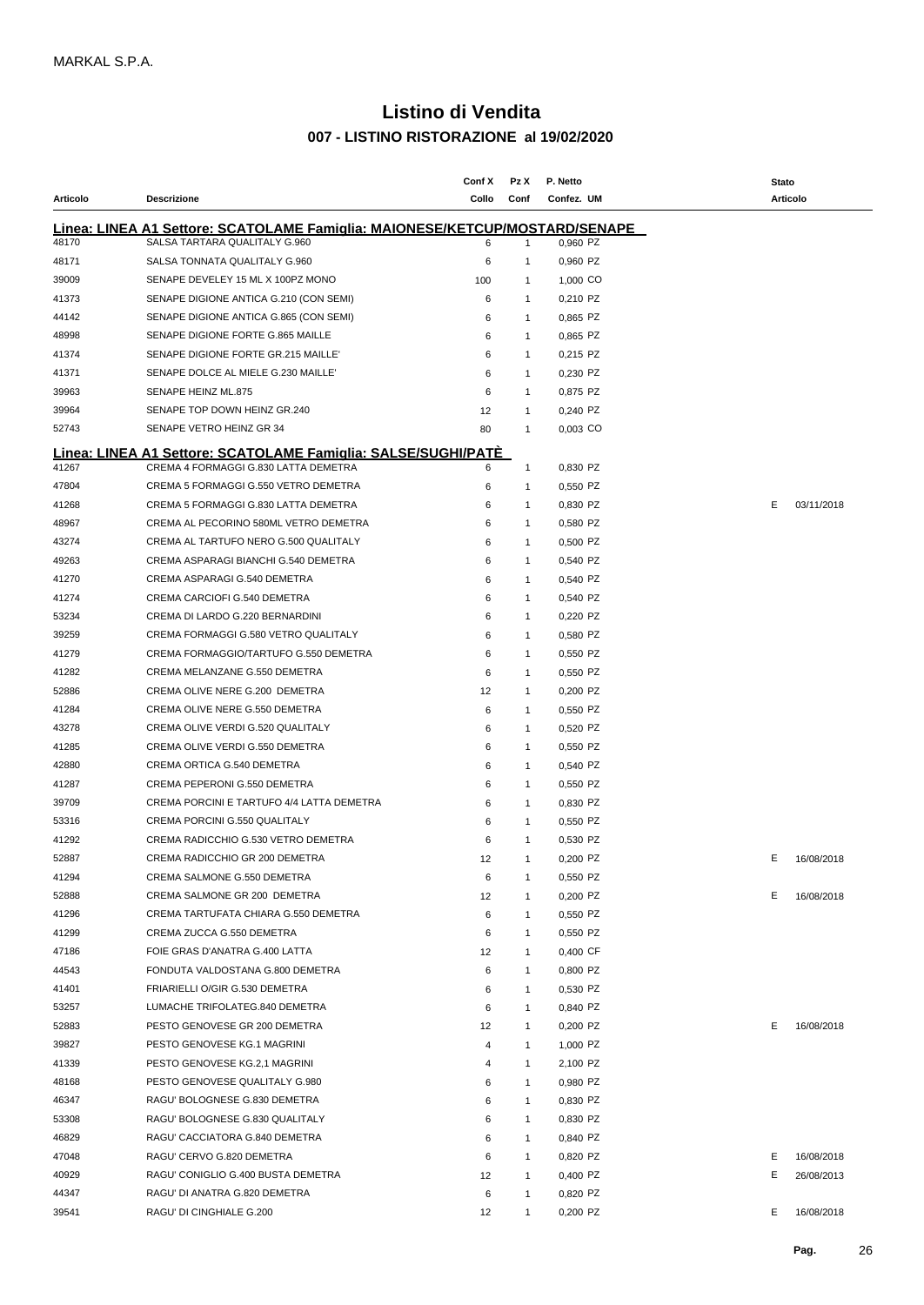|          |                                                                                                              | Conf X | Pz X           | P. Netto   | <b>Stato</b>     |
|----------|--------------------------------------------------------------------------------------------------------------|--------|----------------|------------|------------------|
| Articolo | <b>Descrizione</b>                                                                                           | Collo  | Conf           | Confez. UM | <b>Articolo</b>  |
|          |                                                                                                              |        |                |            |                  |
| 48170    | Linea: LINEA A1 Settore: SCATOLAME Famiglia: MAIONESE/KETCUP/MOSTARD/SENAPE<br>SALSA TARTARA QUALITALY G.960 | 6      | $\mathbf{1}$   | 0,960 PZ   |                  |
| 48171    | SALSA TONNATA QUALITALY G.960                                                                                | 6      | $\overline{1}$ | 0,960 PZ   |                  |
| 39009    | SENAPE DEVELEY 15 ML X 100PZ MONO                                                                            |        |                |            |                  |
|          |                                                                                                              | 100    | -1             | 1,000 CO   |                  |
| 41373    | SENAPE DIGIONE ANTICA G.210 (CON SEMI)                                                                       | 6      | $\mathbf 1$    | 0,210 PZ   |                  |
| 44142    | SENAPE DIGIONE ANTICA G.865 (CON SEMI)                                                                       | 6      | $\mathbf 1$    | 0,865 PZ   |                  |
| 48998    | SENAPE DIGIONE FORTE G.865 MAILLE                                                                            | 6      | -1             | 0,865 PZ   |                  |
| 41374    | SENAPE DIGIONE FORTE GR.215 MAILLE'                                                                          | 6      | -1             | 0,215 PZ   |                  |
| 41371    | SENAPE DOLCE AL MIELE G.230 MAILLET                                                                          | 6      | -1             | 0,230 PZ   |                  |
| 39963    | SENAPE HEINZ ML.875                                                                                          | 6      | -1             | 0,875 PZ   |                  |
| 39964    | SENAPE TOP DOWN HEINZ GR.240                                                                                 | 12     | -1             | 0,240 PZ   |                  |
| 52743    | SENAPE VETRO HEINZ GR 34                                                                                     | 80     | $\overline{1}$ | 0,003 CO   |                  |
|          | Linea: LINEA A1 Settore: SCATOLAME Famiglia: SALSE/SUGHI/PATÉ                                                |        |                |            |                  |
| 41267    | CREMA 4 FORMAGGI G.830 LATTA DEMETRA                                                                         | 6      | -1             | 0,830 PZ   |                  |
| 47804    | CREMA 5 FORMAGGI G.550 VETRO DEMETRA                                                                         | 6      | -1             | 0,550 PZ   |                  |
| 41268    | CREMA 5 FORMAGGI G.830 LATTA DEMETRA                                                                         | 6      | $\overline{1}$ | 0,830 PZ   | E.<br>03/11/2018 |
| 48967    | CREMA AL PECORINO 580ML VETRO DEMETRA                                                                        | 6      | $\overline{1}$ | 0,580 PZ   |                  |
| 43274    | CREMA AL TARTUFO NERO G.500 QUALITALY                                                                        | 6      | -1             | 0,500 PZ   |                  |
| 49263    | CREMA ASPARAGI BIANCHI G.540 DEMETRA                                                                         | 6      | -1             | 0,540 PZ   |                  |
| 41270    | CREMA ASPARAGI G.540 DEMETRA                                                                                 | 6      | -1             | 0,540 PZ   |                  |
| 41274    | CREMA CARCIOFI G.540 DEMETRA                                                                                 | 6      | -1             | 0,540 PZ   |                  |
| 53234    | CREMA DI LARDO G.220 BERNARDINI                                                                              | 6      | $\overline{1}$ | 0,220 PZ   |                  |
| 39259    | CREMA FORMAGGI G.580 VETRO QUALITALY                                                                         | 6      | $\overline{1}$ | 0,580 PZ   |                  |
| 41279    | CREMA FORMAGGIO/TARTUFO G.550 DEMETRA                                                                        | 6      | $\overline{1}$ | 0,550 PZ   |                  |
| 41282    | CREMA MELANZANE G.550 DEMETRA                                                                                | 6      | $\overline{1}$ | 0,550 PZ   |                  |
| 52886    | CREMA OLIVE NERE G.200 DEMETRA                                                                               | 12     | -1             | 0,200 PZ   |                  |
| 41284    | CREMA OLIVE NERE G.550 DEMETRA                                                                               |        | $\overline{1}$ | 0,550 PZ   |                  |
|          |                                                                                                              | 6      |                |            |                  |
| 43278    | CREMA OLIVE VERDI G.520 QUALITALY                                                                            | 6      | -1             | 0,520 PZ   |                  |
| 41285    | CREMA OLIVE VERDI G.550 DEMETRA                                                                              | 6      | -1             | 0,550 PZ   |                  |
| 42880    | CREMA ORTICA G.540 DEMETRA                                                                                   | 6      | -1             | 0,540 PZ   |                  |
| 41287    | CREMA PEPERONI G.550 DEMETRA                                                                                 | 6      | -1             | 0,550 PZ   |                  |
| 39709    | CREMA PORCINI E TARTUFO 4/4 LATTA DEMETRA                                                                    | 6      | -1             | 0,830 PZ   |                  |
| 53316    | CREMA PORCINI G.550 QUALITALY                                                                                | 6      | -1             | 0,550 PZ   |                  |
| 41292    | CREMA RADICCHIO G.530 VETRO DEMETRA                                                                          | 6      | -1             | 0.530 PZ   |                  |
| 52887    | CREMA RADICCHIO GR 200 DEMETRA                                                                               | 12     | -1             | 0,200 PZ   | Е<br>16/08/2018  |
| 41294    | CREMA SALMONE G.550 DEMETRA                                                                                  | 6      | $\overline{1}$ | 0,550 PZ   |                  |
| 52888    | CREMA SALMONE GR 200 DEMETRA                                                                                 | 12     | -1             | 0,200 PZ   | Е<br>16/08/2018  |
| 41296    | CREMA TARTUFATA CHIARA G.550 DEMETRA                                                                         | 6      | $\overline{1}$ | 0,550 PZ   |                  |
| 41299    | CREMA ZUCCA G.550 DEMETRA                                                                                    | 6      | $\overline{1}$ | 0,550 PZ   |                  |
| 47186    | FOIE GRAS D'ANATRA G.400 LATTA                                                                               | 12     | $\overline{1}$ | 0,400 CF   |                  |
| 44543    | FONDUTA VALDOSTANA G.800 DEMETRA                                                                             | 6      | $\overline{1}$ | 0,800 PZ   |                  |
| 41401    | FRIARIELLI O/GIR G.530 DEMETRA                                                                               | 6      | $\overline{1}$ | 0,530 PZ   |                  |
| 53257    | LUMACHE TRIFOLATEG.840 DEMETRA                                                                               | 6      | $\overline{1}$ | 0,840 PZ   |                  |
| 52883    | PESTO GENOVESE GR 200 DEMETRA                                                                                | 12     | $\overline{1}$ | 0,200 PZ   | Е<br>16/08/2018  |
| 39827    | PESTO GENOVESE KG.1 MAGRINI                                                                                  | 4      | $\overline{1}$ | 1,000 PZ   |                  |
| 41339    | PESTO GENOVESE KG.2,1 MAGRINI                                                                                | 4      | $\overline{1}$ | 2,100 PZ   |                  |
| 48168    | PESTO GENOVESE QUALITALY G.980                                                                               | 6      | $\overline{1}$ | 0,980 PZ   |                  |
| 46347    | RAGU' BOLOGNESE G.830 DEMETRA                                                                                | 6      | $\overline{1}$ | 0,830 PZ   |                  |
| 53308    | RAGU' BOLOGNESE G.830 QUALITALY                                                                              | 6      | $\overline{1}$ | 0,830 PZ   |                  |
| 46829    | RAGU' CACCIATORA G.840 DEMETRA                                                                               | 6      | $\overline{1}$ | 0,840 PZ   |                  |
| 47048    | RAGU' CERVO G.820 DEMETRA                                                                                    | 6      | $\overline{1}$ | 0,820 PZ   | E.               |
|          |                                                                                                              |        |                |            | 16/08/2018       |
| 40929    | RAGU' CONIGLIO G.400 BUSTA DEMETRA                                                                           | 12     | $\overline{1}$ | 0,400 PZ   | Е<br>26/08/2013  |
| 44347    | RAGU' DI ANATRA G.820 DEMETRA                                                                                | 6      | $\overline{1}$ | 0,820 PZ   |                  |
| 39541    | RAGU' DI CINGHIALE G.200                                                                                     | 12     | $\overline{1}$ | 0,200 PZ   | E.<br>16/08/2018 |